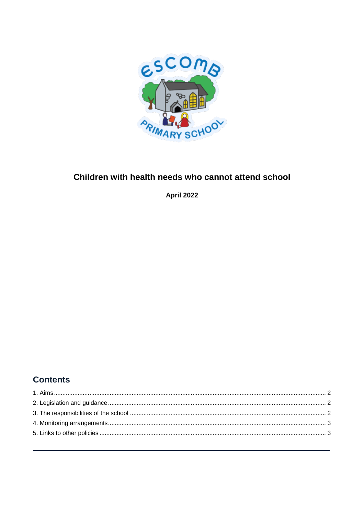

## Children with health needs who cannot attend school

**April 2022** 

# **Contents**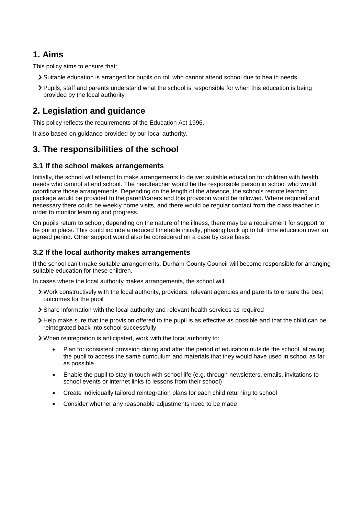### <span id="page-1-0"></span>**1. Aims**

This policy aims to ensure that:

- Suitable education is arranged for pupils on roll who cannot attend school due to health needs
- Pupils, staff and parents understand what the school is responsible for when this education is being provided by the local authority

### <span id="page-1-1"></span>**2. Legislation and guidance**

This policy reflects the requirements of the [Education Act 1996.](http://www.legislation.gov.uk/ukpga/1996/56/section/19)

It also based on guidance provided by our local authority.

### <span id="page-1-2"></span>**3. The responsibilities of the school**

#### **3.1 If the school makes arrangements**

Initially, the school will attempt to make arrangements to deliver suitable education for children with health needs who cannot attend school. The headteacher would be the responsible person in school who would coordinate those arrangements. Depending on the length of the absence, the schools remote learning package would be provided to the parent/carers and this provision would be followed. Where required and necessary there could be weekly home visits, and there would be regular contact from the class teacher in order to monitor learning and progress.

On pupils return to school, depending on the nature of the illness, there may be a requirement for support to be put in place. This could include a reduced timetable initially, phasing back up to full time education over an agreed period. Other support would also be considered on a case by case basis.

### **3.2 If the local authority makes arrangements**

If the school can't make suitable arrangements, Durham County Council will become responsible for arranging suitable education for these children.

In cases where the local authority makes arrangements, the school will:

- Work constructively with the local authority, providers, relevant agencies and parents to ensure the best outcomes for the pupil
- Share information with the local authority and relevant health services as required
- Help make sure that the provision offered to the pupil is as effective as possible and that the child can be reintegrated back into school successfully

When reintegration is anticipated, work with the local authority to:

- Plan for consistent provision during and after the period of education outside the school, allowing the pupil to access the same curriculum and materials that they would have used in school as far as possible
- Enable the pupil to stay in touch with school life (e.g. through newsletters, emails, invitations to school events or internet links to lessons from their school)
- Create individually tailored reintegration plans for each child returning to school
- Consider whether any reasonable adjustments need to be made